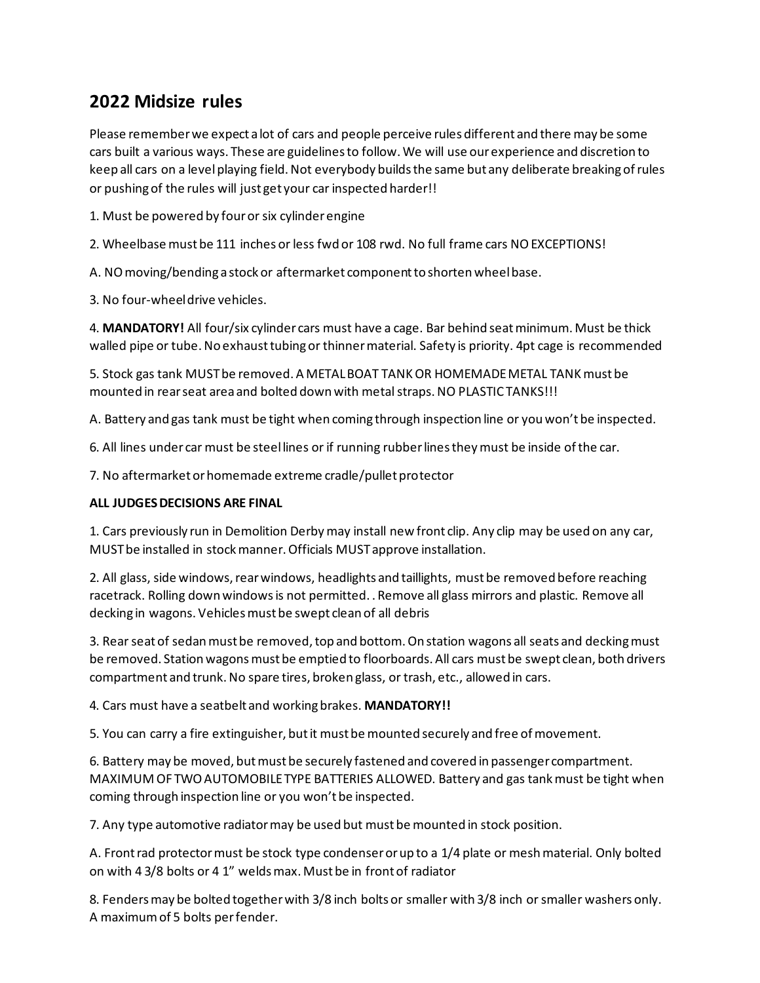# **2022 Midsize rules**

Please remember we expect a lot of cars and people perceive rules different and there may be some cars built a various ways. These are guidelines to follow. We will use our experience and discretion to keep all cars on a level playing field. Not everybody builds the same but any deliberate breaking of rules or pushing of the rules will just get your car inspected harder!!

1. Must be powered by four or six cylinder engine

2. Wheelbase must be 111 inches or less fwd or 108 rwd. No full frame cars NO EXCEPTIONS!

A. NO moving/bending a stock or aftermarket component to shorten wheel base.

3. No four-wheel drive vehicles.

4. **MANDATORY!** All four/six cylinder cars must have a cage. Bar behind seat minimum. Must be thick walled pipe or tube. No exhaust tubing or thinner material. Safety is priority. 4pt cage is recommended

5. Stock gas tank MUST be removed. A METAL BOAT TANK OR HOMEMADE METAL TANK must be mounted in rear seat area and bolted down with metal straps. NO PLASTIC TANKS!!!

A. Battery and gas tank must be tight when coming through inspection line or you won't be inspected.

6. All lines under car must be steel lines or if running rubber lines they must be inside of the car.

7. No aftermarket or homemade extreme cradle/pullet protector

### **ALL JUDGES DECISIONS ARE FINAL**

1. Cars previously run in Demolition Derby may install new front clip. Any clip may be used on any car, MUST be installed in stock manner. Officials MUST approve installation.

2. All glass, side windows, rear windows, headlights and taillights, must be removed before reaching racetrack. Rolling down windows is not permitted. . Remove all glass mirrors and plastic. Remove all decking in wagons. Vehicles must be swept clean of all debris

3. Rear seat of sedan must be removed, top and bottom. On station wagons all seats and decking must be removed. Station wagons must be emptied to floorboards. All cars must be swept clean, both drivers compartment and trunk. No spare tires, broken glass, or trash, etc., allowed in cars.

4. Cars must have a seatbelt and working brakes. **MANDATORY!!**

5. You can carry a fire extinguisher, but it must be mounted securely and free of movement.

6. Battery may be moved, but must be securely fastened and covered in passenger compartment. MAXIMUM OF TWO AUTOMOBILE TYPE BATTERIES ALLOWED. Battery and gas tank must be tight when coming through inspection line or you won't be inspected.

7. Any type automotive radiator may be used but must be mounted in stock position.

A. Front rad protector must be stock type condenser or up to a 1/4 plate or mesh material. Only bolted on with 4 3/8 bolts or 4 1" welds max. Must be in front of radiator

8. Fenders may be bolted together with 3/8 inch bolts or smaller with 3/8 inch or smaller washers only. A maximum of 5 bolts per fender.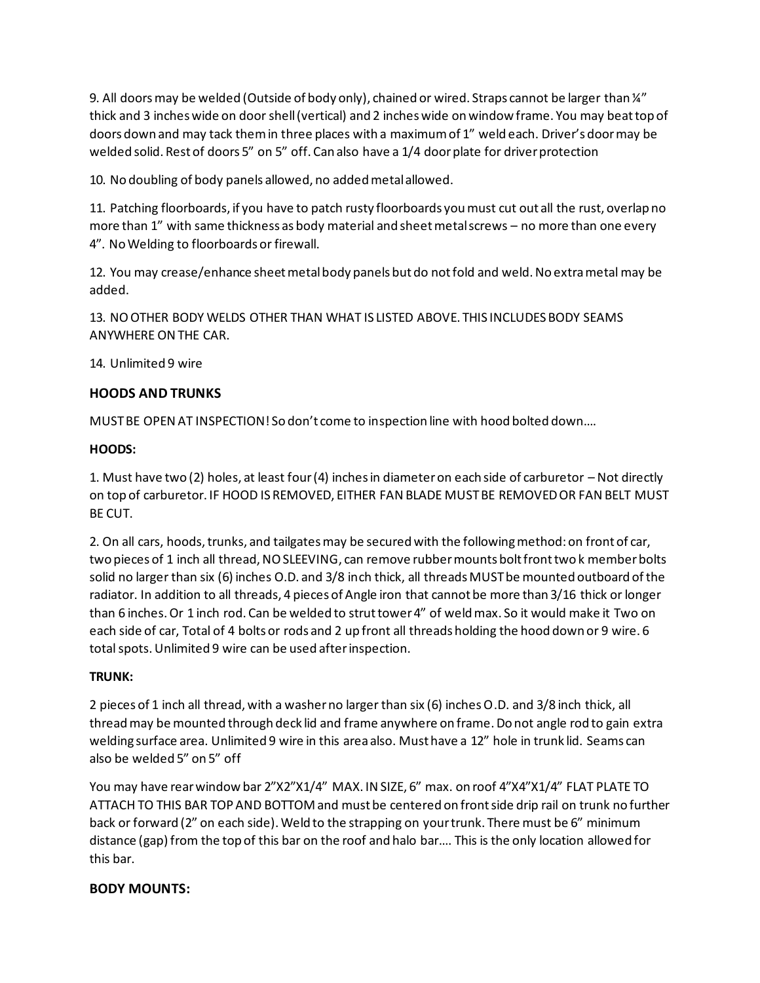9. All doors may be welded (Outside of body only), chained or wired. Straps cannot be larger than  $\frac{1}{4}$ thick and 3 inches wide on door shell (vertical) and 2 inches wide on window frame. You may beat top of doors down and may tack them in three places with a maximum of 1" weld each. Driver's door may be welded solid. Rest of doors 5" on 5" off. Can also have a 1/4 door plate for driver protection

10. No doubling of body panels allowed, no added metal allowed.

11. Patching floorboards, if you have to patch rusty floorboards you must cut out all the rust, overlap no more than 1" with same thickness as body material and sheet metal screws – no more than one every 4". No Welding to floorboards or firewall.

12. You may crease/enhance sheet metal body panels but do not fold and weld. No extra metal may be added.

13. NO OTHER BODY WELDS OTHER THAN WHAT IS LISTED ABOVE. THIS INCLUDES BODY SEAMS ANYWHERE ON THE CAR.

14. Unlimited 9 wire

### **HOODS AND TRUNKS**

MUST BE OPEN AT INSPECTION! So don't come to inspection line with hood bolted down….

#### **HOODS:**

1. Must have two (2) holes, at least four (4) inches in diameter on each side of carburetor – Not directly on top of carburetor. IF HOOD IS REMOVED, EITHER FAN BLADE MUST BE REMOVED OR FAN BELT MUST BE CUT.

2. On all cars, hoods, trunks, and tailgates may be secured with the following method: on front of car, two pieces of 1 inch all thread, NO SLEEVING, can remove rubber mounts bolt front two k member bolts solid no larger than six (6) inches O.D. and 3/8 inch thick, all threads MUST be mounted outboard of the radiator. In addition to all threads, 4 pieces of Angle iron that cannot be more than 3/16 thick or longer than 6 inches. Or 1 inch rod. Can be welded to strut tower 4" of weld max. So it would make it Two on each side of car, Total of 4 bolts or rods and 2 up front all threads holding the hood down or 9 wire. 6 total spots. Unlimited 9 wire can be used after inspection.

### **TRUNK:**

2 pieces of 1 inch all thread, with a washer no larger than six (6) inches O.D. and 3/8 inch thick, all thread may be mounted through deck lid and frame anywhere on frame. Do not angle rod to gain extra welding surface area. Unlimited 9 wire in this area also. Must have a 12" hole in trunk lid. Seams can also be welded 5" on 5" off

You may have rear window bar 2"X2"X1/4" MAX. IN SIZE, 6" max. on roof 4"X4"X1/4" FLAT PLATE TO ATTACH TO THIS BAR TOP AND BOTTOM and must be centered on front side drip rail on trunk no further back or forward (2" on each side). Weld to the strapping on your trunk. There must be 6" minimum distance (gap) from the top of this bar on the roof and halo bar…. This is the only location allowed for this bar.

### **BODY MOUNTS:**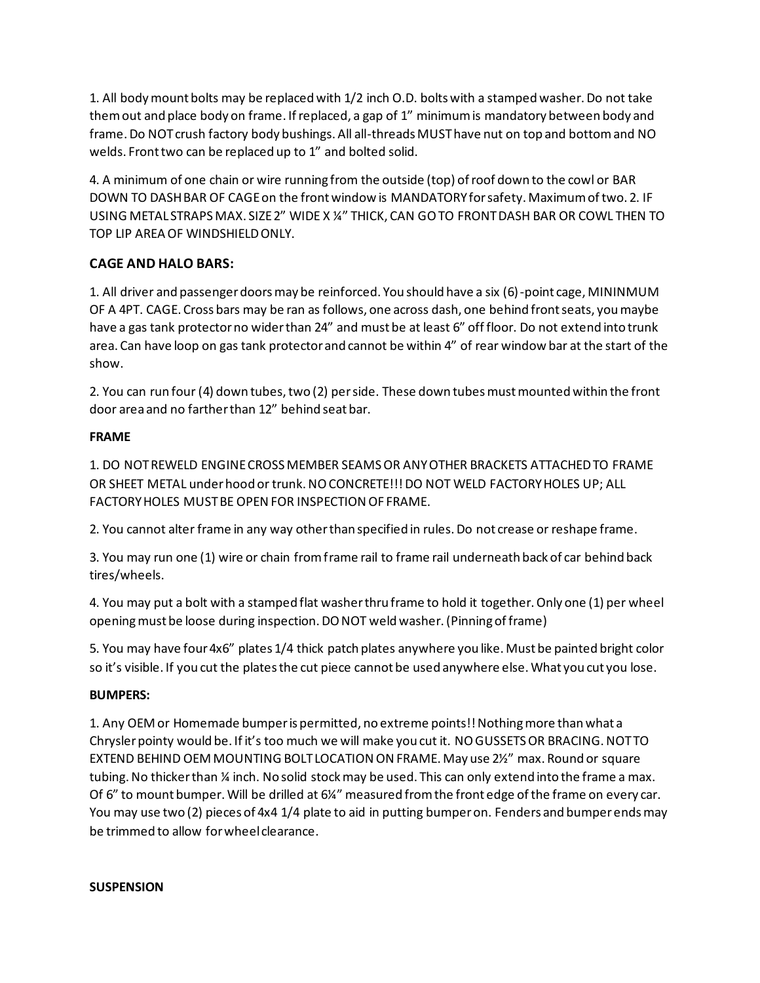1. All body mount bolts may be replaced with 1/2 inch O.D. bolts with a stamped washer. Do not take them out and place body on frame. If replaced, a gap of 1" minimum is mandatory between body and frame. Do NOT crush factory body bushings. All all-threads MUST have nut on top and bottom and NO welds. Front two can be replaced up to 1" and bolted solid.

4. A minimum of one chain or wire running from the outside (top) of roof down to the cowl or BAR DOWN TO DASH BAR OF CAGE on the front window is MANDATORY for safety. Maximum of two. 2. IF USING METAL STRAPS MAX. SIZE 2" WIDE X ¼" THICK, CAN GO TO FRONT DASH BAR OR COWL THEN TO TOP LIP AREA OF WINDSHIELD ONLY.

## **CAGE AND HALO BARS:**

1. All driver and passenger doors may be reinforced. You should have a six (6)-point cage, MININMUM OF A 4PT. CAGE. Cross bars may be ran as follows, one across dash, one behind front seats, you maybe have a gas tank protector no wider than 24" and must be at least 6" off floor. Do not extend into trunk area. Can have loop on gas tank protector and cannot be within 4" of rear window bar at the start of the show.

2. You can run four (4) down tubes, two (2) per side. These down tubes must mounted within the front door area and no farther than 12" behind seat bar.

## **FRAME**

1. DO NOT REWELD ENGINE CROSS MEMBER SEAMS OR ANY OTHER BRACKETS ATTACHED TO FRAME OR SHEET METAL under hood or trunk. NO CONCRETE!!! DO NOT WELD FACTORY HOLES UP; ALL FACTORY HOLES MUST BE OPEN FOR INSPECTION OF FRAME.

2. You cannot alter frame in any way other than specified in rules. Do not crease or reshape frame.

3. You may run one (1) wire or chain from frame rail to frame rail underneath back of car behind back tires/wheels.

4. You may put a bolt with a stamped flat washer thru frame to hold it together. Only one (1) per wheel opening must be loose during inspection. DO NOT weld washer. (Pinning of frame)

5. You may have four 4x6" plates 1/4 thick patch plates anywhere you like. Must be painted bright color so it's visible. If you cut the plates the cut piece cannot be used anywhere else. What you cut you lose.

## **BUMPERS:**

1. Any OEM or Homemade bumper is permitted, no extreme points!! Nothing more than what a Chrysler pointy would be. If it's too much we will make you cut it. NO GUSSETS OR BRACING. NOT TO EXTEND BEHIND OEM MOUNTING BOLT LOCATION ON FRAME. May use 2½" max. Round or square tubing. No thicker than % inch. No solid stock may be used. This can only extend into the frame a max. Of 6" to mount bumper. Will be drilled at 6¼" measured from the front edge of the frame on every car. You may use two (2) pieces of 4x4 1/4 plate to aid in putting bumper on. Fenders and bumper ends may be trimmed to allow for wheel clearance.

### **SUSPENSION**